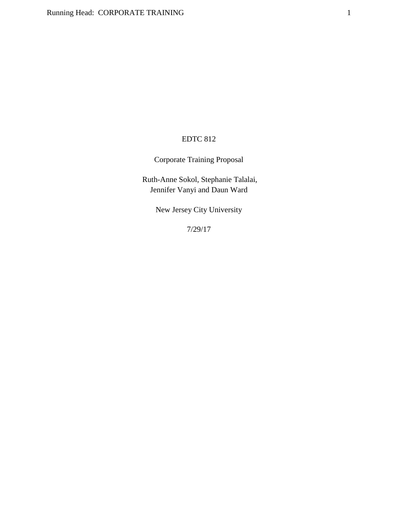## EDTC 812

Corporate Training Proposal

Ruth-Anne Sokol, Stephanie Talalai, Jennifer Vanyi and Daun Ward

New Jersey City University

7/29/17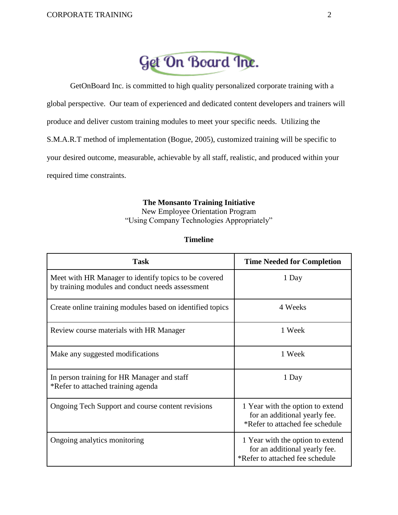

GetOnBoard Inc. is committed to high quality personalized corporate training with a global perspective. Our team of experienced and dedicated content developers and trainers will produce and deliver custom training modules to meet your specific needs. Utilizing the S.M.A.R.T method of implementation (Bogue, 2005), customized training will be specific to your desired outcome, measurable, achievable by all staff, realistic, and produced within your required time constraints.

### **The Monsanto Training Initiative**

New Employee Orientation Program "Using Company Technologies Appropriately"

### **Timeline**

| <b>Task</b>                                                                                               | <b>Time Needed for Completion</b>                                                                    |  |  |
|-----------------------------------------------------------------------------------------------------------|------------------------------------------------------------------------------------------------------|--|--|
| Meet with HR Manager to identify topics to be covered<br>by training modules and conduct needs assessment | 1 Day                                                                                                |  |  |
| Create online training modules based on identified topics                                                 | 4 Weeks                                                                                              |  |  |
| Review course materials with HR Manager                                                                   | 1 Week                                                                                               |  |  |
| Make any suggested modifications                                                                          | 1 Week                                                                                               |  |  |
| In person training for HR Manager and staff<br>*Refer to attached training agenda                         | 1 Day                                                                                                |  |  |
| Ongoing Tech Support and course content revisions                                                         | 1 Year with the option to extend<br>for an additional yearly fee.<br>*Refer to attached fee schedule |  |  |
| Ongoing analytics monitoring                                                                              | 1 Year with the option to extend<br>for an additional yearly fee.<br>*Refer to attached fee schedule |  |  |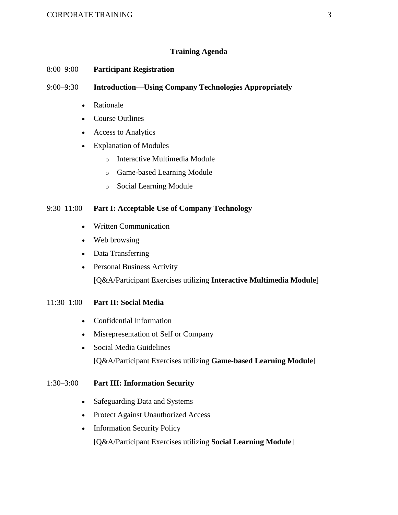### **Training Agenda**

### 8:00–9:00 **Participant Registration**

### 9:00–9:30 **Introduction—Using Company Technologies Appropriately**

- Rationale
- Course Outlines
- Access to Analytics
- Explanation of Modules
	- o Interactive Multimedia Module
	- o Game-based Learning Module
	- o Social Learning Module

### 9:30–11:00 **Part I: Acceptable Use of Company Technology**

- Written Communication
- Web browsing
- Data Transferring
- Personal Business Activity

[Q&A/Participant Exercises utilizing **Interactive Multimedia Module**]

### 11:30–1:00 **Part II: Social Media**

- Confidential Information
- Misrepresentation of Self or Company
- Social Media Guidelines [Q&A/Participant Exercises utilizing **Game-based Learning Module**]

### 1:30–3:00 **Part III: Information Security**

- Safeguarding Data and Systems
- Protect Against Unauthorized Access
- Information Security Policy

[Q&A/Participant Exercises utilizing **Social Learning Module**]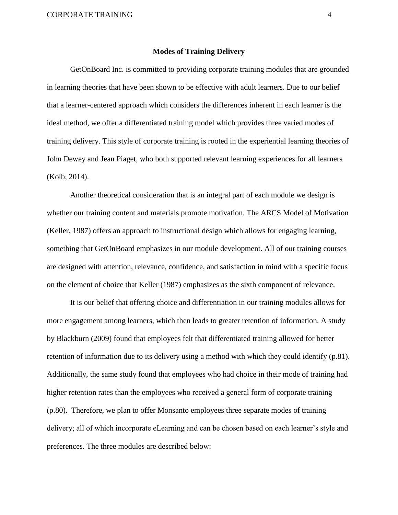#### **Modes of Training Delivery**

GetOnBoard Inc. is committed to providing corporate training modules that are grounded in learning theories that have been shown to be effective with adult learners. Due to our belief that a learner-centered approach which considers the differences inherent in each learner is the ideal method, we offer a differentiated training model which provides three varied modes of training delivery. This style of corporate training is rooted in the experiential learning theories of John Dewey and Jean Piaget, who both supported relevant learning experiences for all learners (Kolb, 2014).

 Another theoretical consideration that is an integral part of each module we design is whether our training content and materials promote motivation. The ARCS Model of Motivation (Keller, 1987) offers an approach to instructional design which allows for engaging learning, something that GetOnBoard emphasizes in our module development. All of our training courses are designed with attention, relevance, confidence, and satisfaction in mind with a specific focus on the element of choice that Keller (1987) emphasizes as the sixth component of relevance.

 It is our belief that offering choice and differentiation in our training modules allows for more engagement among learners, which then leads to greater retention of information. A study by Blackburn (2009) found that employees felt that differentiated training allowed for better retention of information due to its delivery using a method with which they could identify (p.81). Additionally, the same study found that employees who had choice in their mode of training had higher retention rates than the employees who received a general form of corporate training (p.80). Therefore, we plan to offer Monsanto employees three separate modes of training delivery; all of which incorporate eLearning and can be chosen based on each learner's style and preferences. The three modules are described below: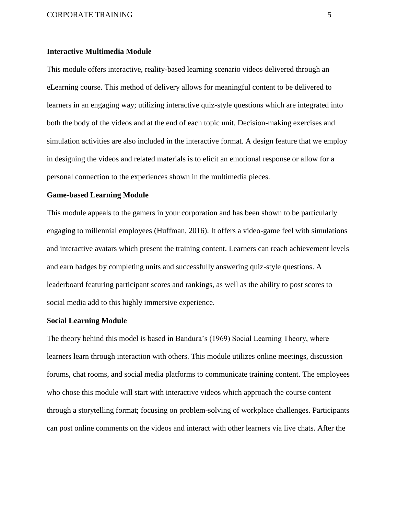#### CORPORATE TRAINING 5

#### **Interactive Multimedia Module**

This module offers interactive, reality-based learning scenario videos delivered through an eLearning course. This method of delivery allows for meaningful content to be delivered to learners in an engaging way; utilizing interactive quiz-style questions which are integrated into both the body of the videos and at the end of each topic unit. Decision-making exercises and simulation activities are also included in the interactive format. A design feature that we employ in designing the videos and related materials is to elicit an emotional response or allow for a personal connection to the experiences shown in the multimedia pieces.

### **Game-based Learning Module**

This module appeals to the gamers in your corporation and has been shown to be particularly engaging to millennial employees (Huffman, 2016). It offers a video-game feel with simulations and interactive avatars which present the training content. Learners can reach achievement levels and earn badges by completing units and successfully answering quiz-style questions. A leaderboard featuring participant scores and rankings, as well as the ability to post scores to social media add to this highly immersive experience.

#### **Social Learning Module**

The theory behind this model is based in Bandura's (1969) Social Learning Theory, where learners learn through interaction with others. This module utilizes online meetings, discussion forums, chat rooms, and social media platforms to communicate training content. The employees who chose this module will start with interactive videos which approach the course content through a storytelling format; focusing on problem-solving of workplace challenges. Participants can post online comments on the videos and interact with other learners via live chats. After the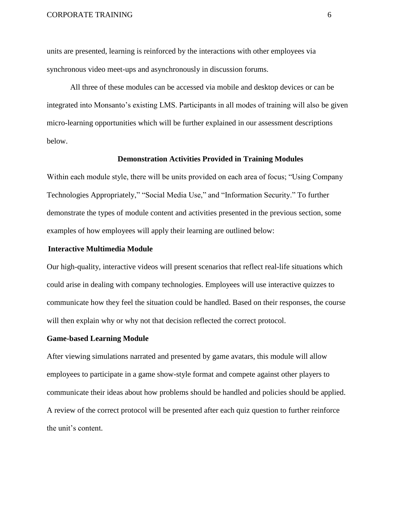units are presented, learning is reinforced by the interactions with other employees via synchronous video meet-ups and asynchronously in discussion forums.

All three of these modules can be accessed via mobile and desktop devices or can be integrated into Monsanto's existing LMS. Participants in all modes of training will also be given micro-learning opportunities which will be further explained in our assessment descriptions below.

### **Demonstration Activities Provided in Training Modules**

Within each module style, there will be units provided on each area of focus; "Using Company Technologies Appropriately," "Social Media Use," and "Information Security." To further demonstrate the types of module content and activities presented in the previous section, some examples of how employees will apply their learning are outlined below:

#### **Interactive Multimedia Module**

Our high-quality, interactive videos will present scenarios that reflect real-life situations which could arise in dealing with company technologies. Employees will use interactive quizzes to communicate how they feel the situation could be handled. Based on their responses, the course will then explain why or why not that decision reflected the correct protocol.

#### **Game-based Learning Module**

After viewing simulations narrated and presented by game avatars, this module will allow employees to participate in a game show-style format and compete against other players to communicate their ideas about how problems should be handled and policies should be applied. A review of the correct protocol will be presented after each quiz question to further reinforce the unit's content.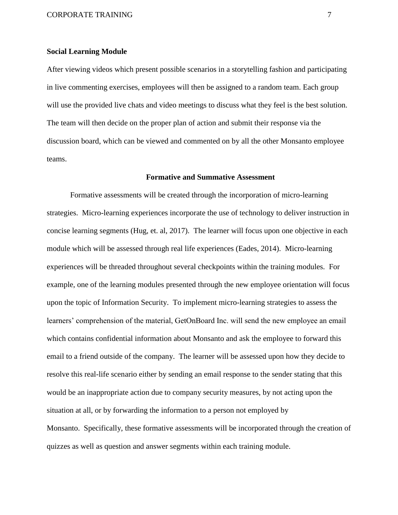#### **Social Learning Module**

After viewing videos which present possible scenarios in a storytelling fashion and participating in live commenting exercises, employees will then be assigned to a random team. Each group will use the provided live chats and video meetings to discuss what they feel is the best solution. The team will then decide on the proper plan of action and submit their response via the discussion board, which can be viewed and commented on by all the other Monsanto employee teams.

#### **Formative and Summative Assessment**

Formative assessments will be created through the incorporation of micro-learning strategies. Micro-learning experiences incorporate the use of technology to deliver instruction in concise learning segments (Hug, et. al, 2017). The learner will focus upon one objective in each module which will be assessed through real life experiences (Eades, 2014). Micro-learning experiences will be threaded throughout several checkpoints within the training modules. For example, one of the learning modules presented through the new employee orientation will focus upon the topic of Information Security. To implement micro-learning strategies to assess the learners' comprehension of the material, GetOnBoard Inc. will send the new employee an email which contains confidential information about Monsanto and ask the employee to forward this email to a friend outside of the company. The learner will be assessed upon how they decide to resolve this real-life scenario either by sending an email response to the sender stating that this would be an inappropriate action due to company security measures, by not acting upon the situation at all, or by forwarding the information to a person not employed by Monsanto. Specifically, these formative assessments will be incorporated through the creation of quizzes as well as question and answer segments within each training module.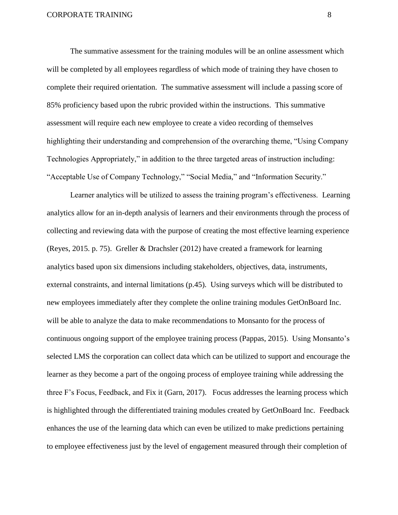The summative assessment for the training modules will be an online assessment which will be completed by all employees regardless of which mode of training they have chosen to complete their required orientation. The summative assessment will include a passing score of 85% proficiency based upon the rubric provided within the instructions. This summative assessment will require each new employee to create a video recording of themselves highlighting their understanding and comprehension of the overarching theme, "Using Company Technologies Appropriately," in addition to the three targeted areas of instruction including: "Acceptable Use of Company Technology," "Social Media," and "Information Security."

Learner analytics will be utilized to assess the training program's effectiveness. Learning analytics allow for an in-depth analysis of learners and their environments through the process of collecting and reviewing data with the purpose of creating the most effective learning experience (Reyes, 2015. p. 75). Greller & Drachsler (2012) have created a framework for learning analytics based upon six dimensions including stakeholders, objectives, data, instruments, external constraints, and internal limitations (p.45). Using surveys which will be distributed to new employees immediately after they complete the online training modules GetOnBoard Inc. will be able to analyze the data to make recommendations to Monsanto for the process of continuous ongoing support of the employee training process (Pappas, 2015). Using Monsanto's selected LMS the corporation can collect data which can be utilized to support and encourage the learner as they become a part of the ongoing process of employee training while addressing the three F's Focus, Feedback, and Fix it (Garn, 2017). Focus addresses the learning process which is highlighted through the differentiated training modules created by GetOnBoard Inc. Feedback enhances the use of the learning data which can even be utilized to make predictions pertaining to employee effectiveness just by the level of engagement measured through their completion of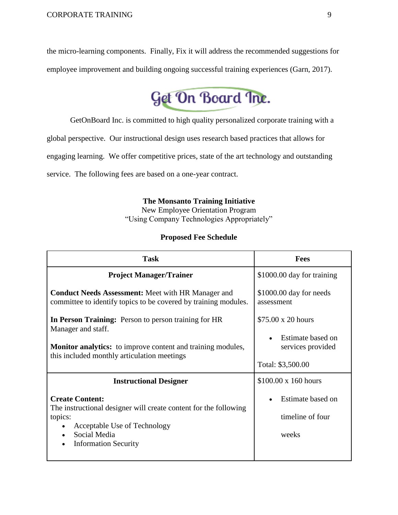the micro-learning components. Finally, Fix it will address the recommended suggestions for employee improvement and building ongoing successful training experiences (Garn, 2017).



GetOnBoard Inc. is committed to high quality personalized corporate training with a

global perspective. Our instructional design uses research based practices that allows for

engaging learning. We offer competitive prices, state of the art technology and outstanding

service. The following fees are based on a one-year contract.

### **The Monsanto Training Initiative**

New Employee Orientation Program "Using Company Technologies Appropriately"

### **Proposed Fee Schedule**

| <b>Task</b>                                                                                                                                                                                     | <b>Fees</b>                                                                       |  |
|-------------------------------------------------------------------------------------------------------------------------------------------------------------------------------------------------|-----------------------------------------------------------------------------------|--|
| <b>Project Manager/Trainer</b>                                                                                                                                                                  | \$1000.00 day for training                                                        |  |
| <b>Conduct Needs Assessment:</b> Meet with HR Manager and<br>committee to identify topics to be covered by training modules.                                                                    | \$1000.00 day for needs<br>assessment                                             |  |
| In Person Training: Person to person training for HR<br>Manager and staff.<br><b>Monitor analytics:</b> to improve content and training modules,<br>this included monthly articulation meetings | \$75.00 x 20 hours<br>Estimate based on<br>services provided<br>Total: \$3,500.00 |  |
| <b>Instructional Designer</b>                                                                                                                                                                   | $$100.00 \times 160$ hours                                                        |  |
| <b>Create Content:</b><br>The instructional designer will create content for the following<br>topics:<br>Acceptable Use of Technology<br>Social Media<br><b>Information Security</b>            | Estimate based on<br>timeline of four<br>weeks                                    |  |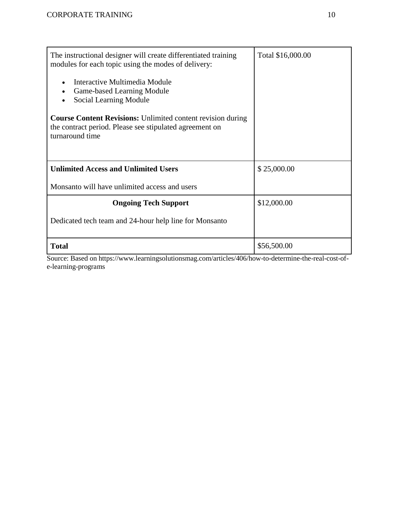| The instructional designer will create differentiated training<br>modules for each topic using the modes of delivery:                            | Total \$16,000.00 |
|--------------------------------------------------------------------------------------------------------------------------------------------------|-------------------|
| Interactive Multimedia Module<br>Game-based Learning Module<br>Social Learning Module                                                            |                   |
| <b>Course Content Revisions:</b> Unlimited content revision during<br>the contract period. Please see stipulated agreement on<br>turnaround time |                   |
| <b>Unlimited Access and Unlimited Users</b>                                                                                                      | \$25,000.00       |
| Monsanto will have unlimited access and users                                                                                                    |                   |
| <b>Ongoing Tech Support</b>                                                                                                                      | \$12,000.00       |
| Dedicated tech team and 24-hour help line for Monsanto                                                                                           |                   |
| <b>Total</b>                                                                                                                                     | \$56,500.00       |

Source: Based on https://www.learningsolutionsmag.com/articles/406/how-to-determine-the-real-cost-ofe-learning-programs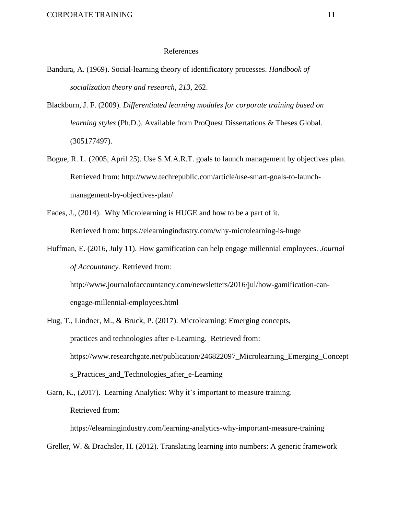#### References

- Bandura, A. (1969). Social-learning theory of identificatory processes. *Handbook of socialization theory and research*, *213*, 262.
- Blackburn, J. F. (2009). *Differentiated learning modules for corporate training based on learning styles* (Ph.D.). Available from ProQuest Dissertations & Theses Global. (305177497).
- Bogue, R. L. (2005, April 25). Use S.M.A.R.T. goals to launch management by objectives plan. Retrieved from: http://www.techrepublic.com/article/use-smart-goals-to-launchmanagement-by-objectives-plan/
- Eades, J., (2014). Why Microlearning is HUGE and how to be a part of it. Retrieved from: https://elearningindustry.com/why-microlearning-is-huge
- Huffman, E. (2016, July 11). How gamification can help engage millennial employees. *Journal of Accountancy.* Retrieved from:

http://www.journalofaccountancy.com/newsletters/2016/jul/how-gamification-canengage-millennial-employees.html

Hug, T., Lindner, M., & Bruck, P. (2017). Microlearning: Emerging concepts, practices and technologies after e-Learning. Retrieved from: https://www.researchgate.net/publication/246822097\_Microlearning\_Emerging\_Concept s\_Practices\_and\_Technologies\_after\_e-Learning

Garn, K., (2017). Learning Analytics: Why it's important to measure training. Retrieved from:

https://elearningindustry.com/learning-analytics-why-important-measure-training

Greller, W. & Drachsler, H. (2012). Translating learning into numbers: A generic framework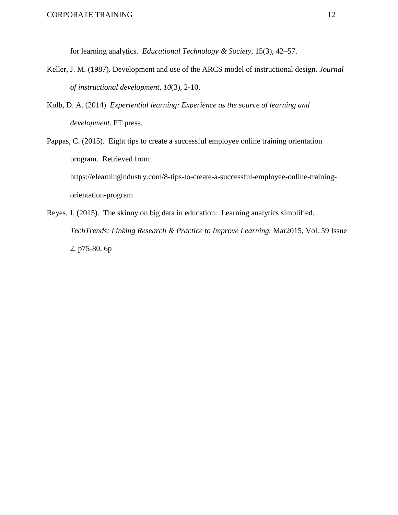for learning analytics. *Educational Technology & Society*, 15(3), 42–57.

- Keller, J. M. (1987). Development and use of the ARCS model of instructional design. *Journal of instructional development*, *10*(3), 2-10.
- Kolb, D. A. (2014). *Experiential learning: Experience as the source of learning and development*. FT press.
- Pappas, C. (2015). Eight tips to create a successful employee online training orientation program. Retrieved from: https://elearningindustry.com/8-tips-to-create-a-successful-employee-online-trainingorientation-program
- Reyes, J. (2015). The skinny on big data in education: Learning analytics simplified. *TechTrends: Linking Research & Practice to Improve Learning.* Mar2015, Vol. 59 Issue 2, p75-80. 6p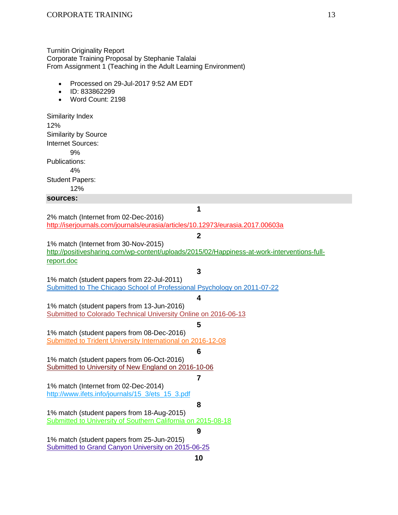#### Turnitin Originality Report Corporate Training Proposal by Stephanie Talalai From Assignment 1 (Teaching in the Adult Learning Environment)

- Processed on 29-Jul-2017 9:52 AM EDT
- ID: 833862299
- Word Count: 2198

Similarity Index 12% Similarity by Source Internet Sources: 9% Publications: 4% Student Papers: 12% **sources: 1** 2% match (Internet from 02-Dec-2016) <http://iserjournals.com/journals/eurasia/articles/10.12973/eurasia.2017.00603a> **2** 1% match (Internet from 30-Nov-2015) [http://positivesharing.com/wp-content/uploads/2015/02/Happiness-at-work-interventions-full](http://positivesharing.com/wp-content/uploads/2015/02/Happiness-at-work-interventions-full-report.doc)[report.doc](http://positivesharing.com/wp-content/uploads/2015/02/Happiness-at-work-interventions-full-report.doc) **3** 1% match (student papers from 22-Jul-2011) [Submitted to The Chicago School of Professional Psychology on 2011-07-22](file:///C:/paperInfo.asp) **4** 1% match (student papers from 13-Jun-2016) [Submitted to Colorado Technical University Online on 2016-06-13](file:///C:/paperInfo.asp) **5** 1% match (student papers from 08-Dec-2016) [Submitted to Trident University International on 2016-12-08](file:///C:/paperInfo.asp) **6** 1% match (student papers from 06-Oct-2016) [Submitted to University of New England on 2016-10-06](file:///C:/paperInfo.asp) **7** 1% match (Internet from 02-Dec-2014) [http://www.ifets.info/journals/15\\_3/ets\\_15\\_3.pdf](http://www.ifets.info/journals/15_3/ets_15_3.pdf) **8** 1% match (student papers from 18-Aug-2015) [Submitted to University of Southern California on 2015-08-18](file:///C:/paperInfo.asp) **9** 1% match (student papers from 25-Jun-2015) [Submitted to Grand Canyon University on 2015-06-25](file:///C:/paperInfo.asp) **10**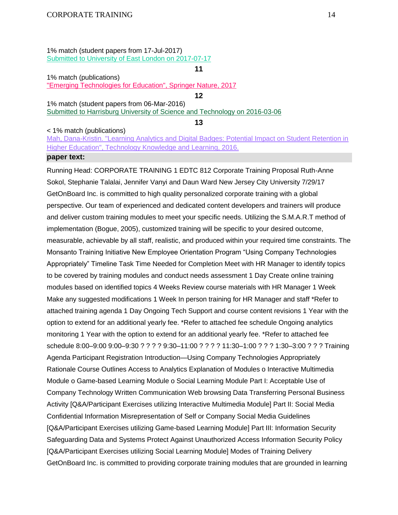1% match (student papers from 17-Jul-2017) Submitted to [University of East London on 2017-07-17](file:///C:/paperInfo.asp)

1% match (publications)

["Emerging Technologies for Education", Springer Nature, 2017](http://link.springer.com/10.1007/978-3-319-52836-6)

**12** 1% match (student papers from 06-Mar-2016) [Submitted to Harrisburg University of Science and Technology on 2016-03-06](file:///C:/paperInfo.asp)

**13**

**11**

< 1% match (publications)

[Mah, Dana-Kristin. "Learning Analytics and Digital Badges: Potential Impact on Student Retention in](http://dx.doi.org/10.1007/s10758-016-9286-8)  [Higher Education", Technology Knowledge and Learning, 2016.](http://dx.doi.org/10.1007/s10758-016-9286-8)

### **paper text:**

Running Head: CORPORATE TRAINING 1 EDTC 812 Corporate Training Proposal Ruth-Anne Sokol, Stephanie Talalai, Jennifer Vanyi and Daun Ward New Jersey City University 7/29/17 GetOnBoard Inc. is committed to high quality personalized corporate training with a global perspective. Our team of experienced and dedicated content developers and trainers will produce and deliver custom training modules to meet your specific needs. Utilizing the S.M.A.R.T method of implementation (Bogue, 2005), customized training will be specific to your desired outcome, measurable, achievable by all staff, realistic, and produced within your required time constraints. The Monsanto Training Initiative New Employee Orientation Program "Using Company Technologies Appropriately" Timeline Task Time Needed for Completion Meet with HR Manager to identify topics to be covered by training modules and conduct needs assessment 1 Day Create online training modules based on identified topics 4 Weeks Review course materials with HR Manager 1 Week Make any suggested modifications 1 Week In person training for HR Manager and staff \*Refer to attached training agenda 1 Day Ongoing Tech Support and course content revisions 1 Year with the option to extend for an additional yearly fee. \*Refer to attached fee schedule Ongoing analytics monitoring 1 Year with the option to extend for an additional yearly fee. \*Refer to attached fee schedule 8:00–9:00 9:00–9:30 ? ? ? ? 9:30–11:00 ? ? ? ? 11:30–1:00 ? ? ? 1:30–3:00 ? ? ? Training Agenda Participant Registration Introduction—Using Company Technologies Appropriately Rationale Course Outlines Access to Analytics Explanation of Modules o Interactive Multimedia Module o Game-based Learning Module o Social Learning Module Part I: Acceptable Use of Company Technology Written Communication Web browsing Data Transferring Personal Business Activity [Q&A/Participant Exercises utilizing Interactive Multimedia Module] Part II: Social Media Confidential Information Misrepresentation of Self or Company Social Media Guidelines [Q&A/Participant Exercises utilizing Game-based Learning Module] Part III: Information Security Safeguarding Data and Systems Protect Against Unauthorized Access Information Security Policy [Q&A/Participant Exercises utilizing Social Learning Module] Modes of Training Delivery GetOnBoard Inc. is committed to providing corporate training modules that are grounded in learning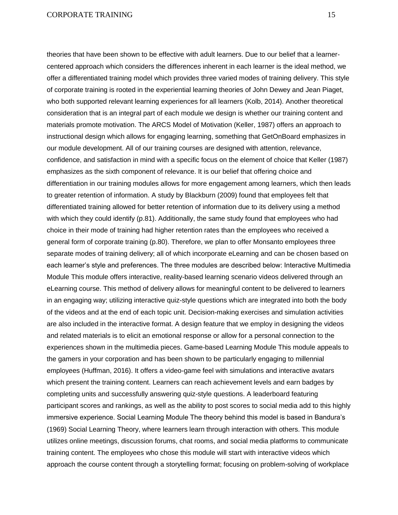theories that have been shown to be effective with adult learners. Due to our belief that a learnercentered approach which considers the differences inherent in each learner is the ideal method, we offer a differentiated training model which provides three varied modes of training delivery. This style of corporate training is rooted in the experiential learning theories of John Dewey and Jean Piaget, who both supported relevant learning experiences for all learners (Kolb, 2014). Another theoretical consideration that is an integral part of each module we design is whether our training content and materials promote motivation. The ARCS Model of Motivation (Keller, 1987) offers an approach to instructional design which allows for engaging learning, something that GetOnBoard emphasizes in our module development. All of our training courses are designed with attention, relevance, confidence, and satisfaction in mind with a specific focus on the element of choice that Keller (1987) emphasizes as the sixth component of relevance. It is our belief that offering choice and differentiation in our training modules allows for more engagement among learners, which then leads to greater retention of information. A study by Blackburn (2009) found that employees felt that differentiated training allowed for better retention of information due to its delivery using a method with which they could identify (p.81). Additionally, the same study found that employees who had choice in their mode of training had higher retention rates than the employees who received a general form of corporate training (p.80). Therefore, we plan to offer Monsanto employees three separate modes of training delivery; all of which incorporate eLearning and can be chosen based on each learner's style and preferences. The three modules are described below: Interactive Multimedia Module This module offers interactive, reality-based learning scenario videos delivered through an eLearning course. This method of delivery allows for meaningful content to be delivered to learners in an engaging way; utilizing interactive quiz-style questions which are integrated into both the body of the videos and at the end of each topic unit. Decision-making exercises and simulation activities are also included in the interactive format. A design feature that we employ in designing the videos and related materials is to elicit an emotional response or allow for a personal connection to the experiences shown in the multimedia pieces. Game-based Learning Module This module appeals to the gamers in your corporation and has been shown to be particularly engaging to millennial employees (Huffman, 2016). It offers a video-game feel with simulations and interactive avatars which present the training content. Learners can reach achievement levels and earn badges by completing units and successfully answering quiz-style questions. A leaderboard featuring participant scores and rankings, as well as the ability to post scores to social media add to this highly immersive experience. Social Learning Module The theory behind this model is based in Bandura's (1969) Social Learning Theory, where learners learn through interaction with others. This module utilizes online meetings, discussion forums, chat rooms, and social media platforms to communicate training content. The employees who chose this module will start with interactive videos which approach the course content through a storytelling format; focusing on problem-solving of workplace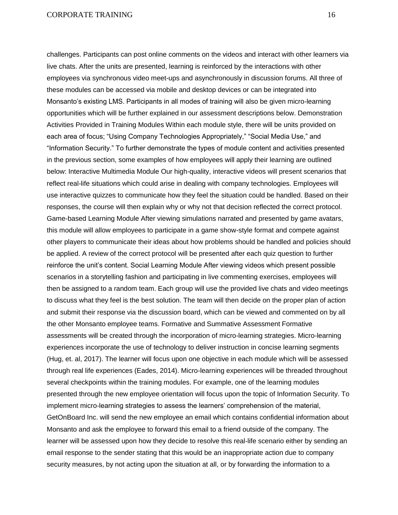challenges. Participants can post online comments on the videos and interact with other learners via live chats. After the units are presented, learning is reinforced by the interactions with other employees via synchronous video meet-ups and asynchronously in discussion forums. All three of these modules can be accessed via mobile and desktop devices or can be integrated into Monsanto's existing LMS. Participants in all modes of training will also be given micro-learning opportunities which will be further explained in our assessment descriptions below. Demonstration Activities Provided in Training Modules Within each module style, there will be units provided on each area of focus; "Using Company Technologies Appropriately," "Social Media Use," and "Information Security." To further demonstrate the types of module content and activities presented in the previous section, some examples of how employees will apply their learning are outlined below: Interactive Multimedia Module Our high-quality, interactive videos will present scenarios that reflect real-life situations which could arise in dealing with company technologies. Employees will use interactive quizzes to communicate how they feel the situation could be handled. Based on their responses, the course will then explain why or why not that decision reflected the correct protocol. Game-based Learning Module After viewing simulations narrated and presented by game avatars, this module will allow employees to participate in a game show-style format and compete against other players to communicate their ideas about how problems should be handled and policies should be applied. A review of the correct protocol will be presented after each quiz question to further reinforce the unit's content. Social Learning Module After viewing videos which present possible scenarios in a storytelling fashion and participating in live commenting exercises, employees will then be assigned to a random team. Each group will use the provided live chats and video meetings to discuss what they feel is the best solution. The team will then decide on the proper plan of action and submit their response via the discussion board, which can be viewed and commented on by all the other Monsanto employee teams. Formative and Summative Assessment Formative assessments will be created through the incorporation of micro-learning strategies. Micro-learning experiences incorporate the use of technology to deliver instruction in concise learning segments (Hug, et. al, 2017). The learner will focus upon one objective in each module which will be assessed through real life experiences (Eades, 2014). Micro-learning experiences will be threaded throughout several checkpoints within the training modules. For example, one of the learning modules presented through the new employee orientation will focus upon the topic of Information Security. To implement micro-learning strategies to assess the learners' comprehension of the material, GetOnBoard Inc. will send the new employee an email which contains confidential information about Monsanto and ask the employee to forward this email to a friend outside of the company. The learner will be assessed upon how they decide to resolve this real-life scenario either by sending an email response to the sender stating that this would be an inappropriate action due to company security measures, by not acting upon the situation at all, or by forwarding the information to a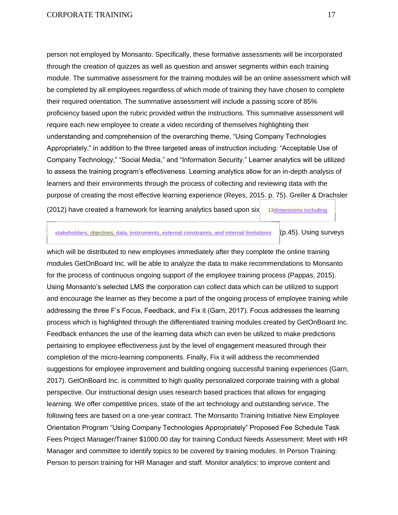person not employed by Monsanto. Specifically, these formative assessments will be incorporated through the creation of quizzes as well as question and answer segments within each training module. The summative assessment for the training modules will be an online assessment which will be completed by all employees regardless of which mode of training they have chosen to complete their required orientation. The summative assessment will include a passing score of 85% proficiency based upon the rubric provided within the instructions. This summative assessment will require each new employee to create a video recording of themselves highlighting their understanding and comprehension of the overarching theme, "Using Company Technologies Appropriately," in addition to the three targeted areas of instruction including: "Acceptable Use of Company Technology," "Social Media," and "Information Security." Learner analytics will be utilized to assess the training program's effectiveness. Learning analytics allow for an in-depth analysis of learners and their environments through the process of collecting and reviewing data with the purpose of creating the most effective learning experience (Reyes, 2015. p. 75). Greller & Drachsler

(2012) have created a framework for learning analytics based upon six 13**[dimensions](javascript:openDSC(58913575,%2037,%20) including**

**[stakeholders,](javascript:openDSC(58913575,%2037,%20)** objectives, **data, instruments, external constraints, and internal limitations** (p.45). Using surveys

which will be distributed to new employees immediately after they complete the online training modules GetOnBoard Inc. will be able to analyze the data to make recommendations to Monsanto for the process of continuous ongoing support of the employee training process (Pappas, 2015). Using Monsanto's selected LMS the corporation can collect data which can be utilized to support and encourage the learner as they become a part of the ongoing process of employee training while addressing the three F's Focus, Feedback, and Fix it (Garn, 2017). Focus addresses the learning process which is highlighted through the differentiated training modules created by GetOnBoard Inc. Feedback enhances the use of the learning data which can even be utilized to make predictions pertaining to employee effectiveness just by the level of engagement measured through their completion of the micro-learning components. Finally, Fix it will address the recommended suggestions for employee improvement and building ongoing successful training experiences (Garn, 2017). GetOnBoard Inc. is committed to high quality personalized corporate training with a global perspective. Our instructional design uses research based practices that allows for engaging learning. We offer competitive prices, state of the art technology and outstanding service. The following fees are based on a one-year contract. The Monsanto Training Initiative New Employee Orientation Program "Using Company Technologies Appropriately" Proposed Fee Schedule Task Fees Project Manager/Trainer \$1000.00 day for training Conduct Needs Assessment: Meet with HR Manager and committee to identify topics to be covered by training modules. In Person Training: Person to person training for HR Manager and staff. Monitor analytics: to improve content and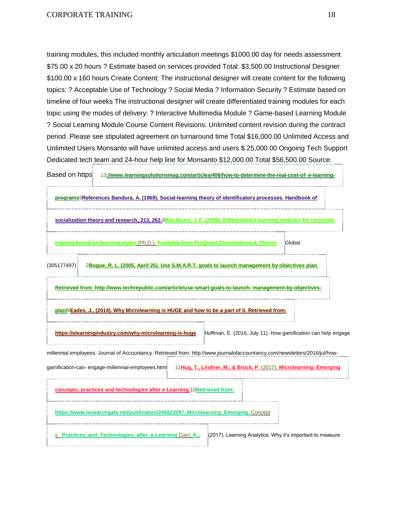training modules, this included monthly articulation meetings \$1000.00 day for needs assessment \$75.00 x 20 hours ? Estimate based on services provided Total: \$3,500.00 Instructional Designer \$100.00 x 160 hours Create Content: The instructional designer will create content for the following topics: ? Acceptable Use of Technology ? Social Media ? Information Security ? Estimate based on timeline of four weeks The instructional designer will create differentiated training modules for each topic using the modes of delivery: ? Interactive Multimedia Module ? Game-based Learning Module ? Social Learning Module Course Content Revisions: Unlimited content revision during the contract period. Please see stipulated agreement on turnaround time Total \$16,000.00 Unlimited Access and Unlimited Users Monsanto will have unlimited access and users \$ 25,000.00 Ongoing Tech Support Dedicated tech team and 24-hour help line for Monsanto \$12,000.00 Total \$56,500.00 Source:

Based on https 12[://www.learningsolutionsmag.com/articles/406/how-to-determine-the-real-cost-of-](javascript:openDSC(641357219,%201,%20)e-learning-

|              | programs9References Bandura, A. (1969). Social-learning theory of identificatory processes. Handbook of                                                                          |                                                                     |          |
|--------------|----------------------------------------------------------------------------------------------------------------------------------------------------------------------------------|---------------------------------------------------------------------|----------|
|              | socialization theory and research, 213, 262.8Blackburn, J. F. (2009). Differentiated learning modules for corporate                                                              |                                                                     |          |
|              | training based on learning styles (Ph.D.). Available from ProQuest Dissertations & Theses                                                                                        |                                                                     | :Global. |
| (305177497). | 2Boque, R. L. (2005, April 25). Use S.M.A.R.T. goals to launch management by objectives plan.                                                                                    |                                                                     |          |
|              | Retrieved from: http://www.techrepublic.com/article/use-smart-goals-to-launch- management-by-objectives-                                                                         |                                                                     |          |
|              | plan/6Eades, J., (2014). Why Microlearning is HUGE and how to be a part of it. Retrieved from:                                                                                   |                                                                     |          |
|              | https://elearningindustry.com/why-microlearning-is-huge Huffman, E. (2016, July 11). How gamification can help engage                                                            |                                                                     |          |
|              | millennial employees. Journal of Accountancy. Retrieved from: http://www.journalofaccountancy.com/newsletters/2016/jul/how-<br>gamification-can-engage-millennial-employees.html | 11Hug, T., Lindner, M., & Bruck, P. (2017). Microlearning: Emerging |          |
|              | concepts, practices and technologies after e-Learning. 10 Retrieved from:                                                                                                        |                                                                     |          |
|              | https://www.researchgate.net/publication/246822097 Microlearning Emerging Concept                                                                                                |                                                                     |          |
|              | <b>Practices and Technologies after e-Learning Garn, K.,</b>                                                                                                                     | (2017). Learning Analytics: Why it's important to measure           |          |